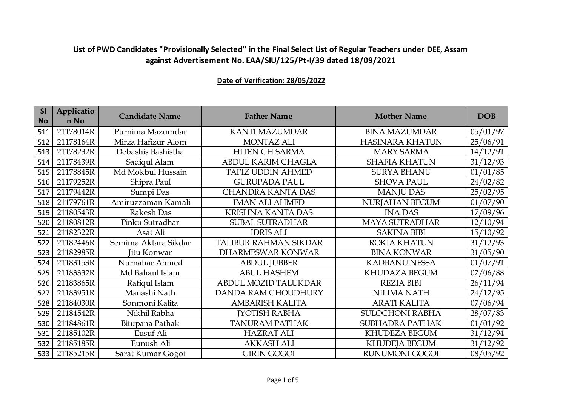| <b>SI</b><br><b>No</b> | Applicatio<br>n No | <b>Candidate Name</b> | <b>Father Name</b>           | <b>Mother Name</b>     | <b>DOB</b> |
|------------------------|--------------------|-----------------------|------------------------------|------------------------|------------|
| 511                    | 21178014R          | Purnima Mazumdar      | <b>KANTI MAZUMDAR</b>        | <b>BINA MAZUMDAR</b>   | 05/01/97   |
| 512                    | 21178164R          | Mirza Hafizur Alom    | <b>MONTAZ ALI</b>            | <b>HASINARA KHATUN</b> | 25/06/91   |
| 513                    | 21178232R          | Debashis Bashistha    | <b>HITEN CH SARMA</b>        | <b>MARY SARMA</b>      | 14/12/91   |
| 514                    | 21178439R          | Sadiqul Alam          | ABDUL KARIM CHAGLA           | <b>SHAFIA KHATUN</b>   | 31/12/93   |
| 515                    | 21178845R          | Md Mokbul Hussain     | <b>TAFIZ UDDIN AHMED</b>     | <b>SURYA BHANU</b>     | 01/01/85   |
| 516                    | 21179252R          | Shipra Paul           | <b>GURUPADA PAUL</b>         | <b>SHOVA PAUL</b>      | 24/02/82   |
| 517                    | 21179442R          | Sumpi Das             | <b>CHANDRA KANTA DAS</b>     | <b>MANJU DAS</b>       | 25/02/95   |
| 518                    | 21179761R          | Amiruzzaman Kamali    | <b>IMAN ALI AHMED</b>        | NURJAHAN BEGUM         | 01/07/90   |
| 519                    | 21180543R          | Rakesh Das            | <b>KRISHNA KANTA DAS</b>     | <b>INADAS</b>          | 17/09/96   |
| 520                    | 21180812R          | Pinku Sutradhar       | <b>SUBAL SUTRADHAR</b>       | <b>MAYA SUTRADHAR</b>  | 12/10/94   |
| 521                    | 21182322R          | Asat Ali              | <b>IDRIS ALI</b>             | <b>SAKINA BIBI</b>     | 15/10/92   |
| 522                    | 21182446R          | Semima Aktara Sikdar  | <b>TALIBUR RAHMAN SIKDAR</b> | <b>ROKIA KHATUN</b>    | 31/12/93   |
| 523                    | 21182985R          | Jitu Konwar           | <b>DHARMESWAR KONWAR</b>     | <b>BINA KONWAR</b>     | 31/05/90   |
| 524                    | 21183153R          | Nurnahar Ahmed        | <b>ABDUL JUBBER</b>          | <b>KADBANU NESSA</b>   | 01/07/91   |
| 525                    | 21183332R          | Md Bahaul Islam       | <b>ABUL HASHEM</b>           | KHUDAZA BEGUM          | 07/06/88   |
| 526                    | 21183865R          | Rafiqul Islam         | ABDUL MOZID TALUKDAR         | <b>REZIA BIBI</b>      | 26/11/94   |
| 527                    | 21183951R          | Manashi Nath          | DANDA RAM CHOUDHURY          | <b>NILIMA NATH</b>     | 24/12/95   |
| 528                    | 21184030R          | Sonmoni Kalita        | <b>AMBARISH KALITA</b>       | <b>ARATI KALITA</b>    | 07/06/94   |
| 529                    | 21184542R          | Nikhil Rabha          | <b>JYOTISH RABHA</b>         | <b>SULOCHONI RABHA</b> | 28/07/83   |
| 530                    | 21184861R          | Bitupana Pathak       | <b>TANURAM PATHAK</b>        | <b>SUBHADRA PATHAK</b> | 01/01/92   |
| 531                    | 21185102R          | Eusuf Ali             | <b>HAZRAT ALI</b>            | KHUDEZA BEGUM          | 31/12/94   |
| 532                    | 21185185R          | Eunush Ali            | <b>AKKASH ALI</b>            | <b>KHUDEJA BEGUM</b>   | 31/12/92   |
| 533                    | 21185215R          | Sarat Kumar Gogoi     | <b>GIRIN GOGOI</b>           | <b>RUNUMONI GOGOI</b>  | 08/05/92   |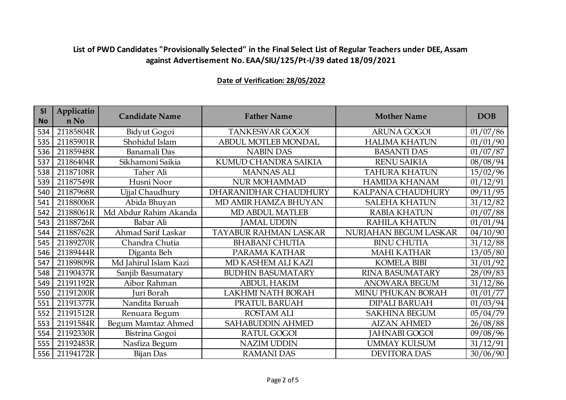| SI<br><b>No</b> | Applicatio<br>n No | <b>Candidate Name</b> | <b>Father Name</b>       | <b>Mother Name</b>     | <b>DOB</b> |
|-----------------|--------------------|-----------------------|--------------------------|------------------------|------------|
| 534             | 21185804R          | Bidyut Gogoi          | <b>TANKESWAR GOGOI</b>   | <b>ARUNA GOGOI</b>     | 01/07/86   |
| 535             | 21185901R          | Shohidul Islam        | ABDUL MOTLEB MONDAL      | <b>HALIMA KHATUN</b>   | 01/01/90   |
| 536             | 21185948R          | Banamali Das          | <b>NABIN DAS</b>         | <b>BASANTI DAS</b>     | 01/07/87   |
| 537             | 21186404R          | Sikhamoni Saikia      | KUMUD CHANDRA SAIKIA     | <b>RENU SAIKIA</b>     | 08/08/94   |
| 538             | 21187108R          | Taher Ali             | <b>MANNAS ALI</b>        | <b>TAHURA KHATUN</b>   | 15/02/96   |
| 539             | 21187549R          | Husni Noor            | <b>NUR MOHAMMAD</b>      | <b>HAMIDA KHANAM</b>   | 01/12/91   |
| 540             | 21187968R          | Ujjal Chaudhury       | DHARANIDHAR CHAUDHURY    | KALPANA CHAUDHURY      | 09/11/95   |
| 541             | 21188006R          | Abida Bhuyan          | MD AMIR HAMZA BHUYAN     | <b>SALEHA KHATUN</b>   | 31/12/82   |
| 542             | 21188061R          | Md Abdur Rahim Akanda | <b>MD ABDUL MATLEB</b>   | <b>RABIA KHATUN</b>    | 01/07/88   |
| 543             | 21188726R          | Babar Ali             | <b>JAMAL UDDIN</b>       | <b>RAHILA KHATUN</b>   | 01/01/94   |
| 544             | 21188762R          | Ahmad Sarif Laskar    | TAYABUR RAHMAN LASKAR    | NURJAHAN BEGUM LASKAR  | 04/10/90   |
| 545             | 21189270R          | Chandra Chutia        | <b>BHABANI CHUTIA</b>    | <b>BINU CHUTIA</b>     | 31/12/88   |
| 546             | 21189444R          | Diganta Beh           | PARAMA KATHAR            | <b>MAHI KATHAR</b>     | 13/05/80   |
| 547             | 21189809R          | Md Jahirul Islam Kazi | MD KASHEM ALI KAZI       | <b>KOMELA BIBI</b>     | 31/01/92   |
| 548             | 21190437R          | Sanjib Basumatary     | <b>BUDHIN BASUMATARY</b> | <b>RINA BASUMATARY</b> | 28/09/83   |
| 549             | 21191192R          | Aibor Rahman          | <b>ABDUL HAKIM</b>       | <b>ANOWARA BEGUM</b>   | 31/12/86   |
| 550             | 21191200R          | Juri Borah            | <b>LAKHMI NATH BORAH</b> | MINU PHUKAN BORAH      | 01/01/77   |
| 551             | 21191377R          | Nandita Baruah        | PRATUL BARUAH            | <b>DIPALI BARUAH</b>   | 01/03/94   |
| 552             | 21191512R          | Renuara Begum         | <b>ROSTAM ALI</b>        | <b>SAKHINA BEGUM</b>   | 05/04/79   |
| 553             | 21191584R          | Begum Mamtaz Ahmed    | <b>SAHABUDDIN AHMED</b>  | <b>AIZAN AHMED</b>     | 26/08/88   |
| 554             | 21192330R          | Bistrina Gogoi        | RATUL GOGOI              | <b>JAHNABI GOGOI</b>   | 09/08/96   |
| 555             | 21192483R          | Nasfiza Begum         | <b>NAZIM UDDIN</b>       | <b>UMMAY KULSUM</b>    | 31/12/91   |
| 556             | 21194172R          | Bijan Das             | <b>RAMANI DAS</b>        | <b>DEVITORA DAS</b>    | 30/06/90   |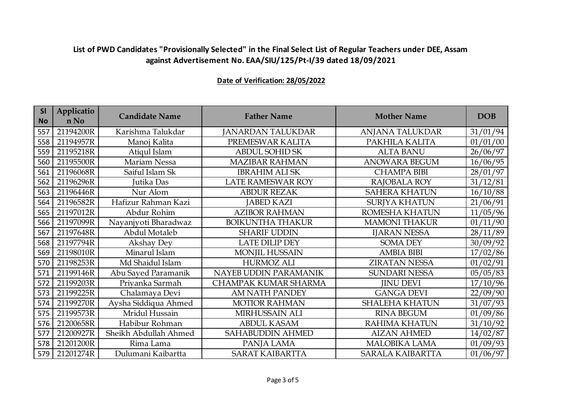| SI<br><b>No</b> | Applicatio<br>n No | <b>Candidate Name</b> | <b>Father Name</b>       | <b>Mother Name</b>      | <b>DOB</b> |
|-----------------|--------------------|-----------------------|--------------------------|-------------------------|------------|
| 557             | 21194200R          | Karishma Talukdar     | <b>JANARDAN TALUKDAR</b> | ANJANA TALUKDAR         | 31/01/94   |
| 558             | 21194957R          | Manoj Kalita          | PREMESWAR KALITA         | PAKHILA KALITA          | 01/01/00   |
| 559             | 21195218R          | Atiqul Islam          | <b>ABDUL SOHID SK</b>    | <b>ALTA BANU</b>        | 26/06/97   |
| 560             | 21195500R          | Mariam Nessa          | <b>MAZIBAR RAHMAN</b>    | <b>ANOWARA BEGUM</b>    | 16/06/95   |
| 561             | 21196068R          | Saiful Islam Sk       | <b>IBRAHIM ALI SK</b>    | <b>CHAMPA BIBI</b>      | 28/01/97   |
| 562             | 21196296R          | Jutika Das            | <b>LATE RAMESWAR ROY</b> | RAJOBALA ROY            | 31/12/81   |
| 563             | 21196446R          | Nur Alom              | <b>ABDUR REZAK</b>       | <b>SAHERA KHATUN</b>    | 16/10/88   |
| 564             | 21196582R          | Hafizur Rahman Kazi   | <b>JABED KAZI</b>        | <b>SURJYA KHATUN</b>    | 21/06/91   |
| 565             | 21197012R          | Abdur Rohim           | <b>AZIBOR RAHMAN</b>     | ROMESHA KHATUN          | 11/05/96   |
| 566             | 21197099R          | Nayanjyoti Bharadwaz  | <b>BOIKUNTHA THAKUR</b>  | <b>MAMONI THAKUR</b>    | 01/11/90   |
| 567             | 21197648R          | Abdul Motaleb         | <b>SHARIF UDDIN</b>      | <b>IJARAN NESSA</b>     | 28/11/89   |
| 568             | 21197794R          | Akshay Dey            | <b>LATE DILIP DEY</b>    | <b>SOMA DEY</b>         | 30/09/92   |
| 569             | 21198010R          | Minarul Islam         | <b>MONJIL HUSSAIN</b>    | <b>AMBIA BIBI</b>       | 17/02/86   |
| 570             | 21198253R          | Md Shaidul Islam      | <b>HURMOZ ALI</b>        | <b>ZIRATAN NESSA</b>    | 01/02/91   |
| 571             | 21199146R          | Abu Sayed Paramanik   | NAYEB UDDIN PARAMANIK    | <b>SUNDARI NESSA</b>    | 05/05/83   |
| 572             | 21199203R          | Priyanka Sarmah       | CHAMPAK KUMAR SHARMA     | <b>JINU DEVI</b>        | 17/10/96   |
| 573             | 21199225R          | Chalamaya Devi        | AM NATH PANDEY           | <b>GANGA DEVI</b>       | 22/09/90   |
| 574             | 21199270R          | Aysha Siddiqua Ahmed  | <b>MOTIOR RAHMAN</b>     | <b>SHALEHA KHATUN</b>   | 31/07/93   |
| 575             | 21199573R          | Mridul Hussain        | MIRHUSSAIN ALI           | <b>RINA BEGUM</b>       | 01/09/86   |
| 576             | 21200658R          | Habibur Rohman        | <b>ABDUL KASAM</b>       | <b>RAHIMA KHATUN</b>    | 31/10/92   |
| 577             | 21200927R          | Sheikh Abdullah Ahmed | SAHABUDDIN AHMED         | <b>AIZAN AHMED</b>      | 14/02/87   |
| 578             | 21201200R          | Rima Lama             | PANJA LAMA               | <b>MALOBIKA LAMA</b>    | 01/09/93   |
| 579             | 21201274R          | Dulumani Kaibartta    | <b>SARAT KAIBARTTA</b>   | <b>SARALA KAIBARTTA</b> | 01/06/97   |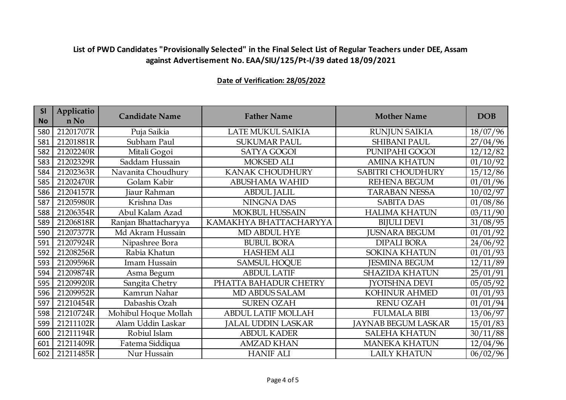| <b>SI</b><br><b>No</b> | Applicatio<br>n No | <b>Candidate Name</b> | <b>Father Name</b>        | <b>Mother Name</b>         | <b>DOB</b> |
|------------------------|--------------------|-----------------------|---------------------------|----------------------------|------------|
|                        |                    |                       |                           |                            |            |
| 580                    | 21201707R          | Puja Saikia           | LATE MUKUL SAIKIA         | <b>RUNJUN SAIKIA</b>       | 18/07/96   |
| 581                    | 21201881R          | Subham Paul           | <b>SUKUMAR PAUL</b>       | <b>SHIBANI PAUL</b>        | 27/04/96   |
| 582                    | 21202240R          | Mitali Gogoi          | <b>SATYA GOGOI</b>        | PUNIPAHI GOGOI             | 12/12/82   |
| 583                    | 21202329R          | Saddam Hussain        | <b>MOKSED ALI</b>         | <b>AMINA KHATUN</b>        | 01/10/92   |
| 584                    | 21202363R          | Navanita Choudhury    | <b>KANAK CHOUDHURY</b>    | SABITRI CHOUDHURY          | 15/12/86   |
| 585                    | 21202470R          | Golam Kabir           | <b>ABUSHAMA WAHID</b>     | <b>REHENA BEGUM</b>        | 01/01/96   |
| 586                    | 21204157R          | Jiaur Rahman          | <b>ABDUL JALIL</b>        | <b>TARABAN NESSA</b>       | 10/02/97   |
| 587                    | 21205980R          | Krishna Das           | NINGNA DAS                | <b>SABITA DAS</b>          | 01/08/86   |
| 588                    | 21206354R          | Abul Kalam Azad       | <b>MOKBUL HUSSAIN</b>     | <b>HALIMA KHATUN</b>       | 03/11/90   |
| 589                    | 21206818R          | Ranjan Bhattacharyya  | KAMAKHYA BHATTACHARYYA    | <b>BIJULI DEVI</b>         | 31/08/95   |
| 590                    | 21207377R          | Md Akram Hussain      | MD ABDUL HYE              | <b>JUSNARA BEGUM</b>       | 01/01/92   |
| 591                    | 21207924R          | Nipashree Bora        | <b>BUBUL BORA</b>         | <b>DIPALI BORA</b>         | 24/06/92   |
| 592                    | 21208256R          | Rabia Khatun          | <b>HASHEM ALI</b>         | <b>SOKINA KHATUN</b>       | 01/01/93   |
| 593                    | 21209596R          | Imam Hussain          | <b>SAMSUL HOQUE</b>       | <b>JESMINA BEGUM</b>       | 12/11/89   |
| 594                    | 21209874R          | Asma Begum            | <b>ABDUL LATIF</b>        | <b>SHAZIDA KHATUN</b>      | 25/01/91   |
| 595                    | 21209920R          | Sangita Chetry        | PHATTA BAHADUR CHETRY     | <b>JYOTSHNA DEVI</b>       | 05/05/92   |
| 596                    | 21209952R          | Kamrun Nahar          | MD ABDUS SALAM            | <b>KOHINUR AHMED</b>       | 01/01/93   |
| 597                    | 21210454R          | Dabashis Ozah         | <b>SUREN OZAH</b>         | <b>RENU OZAH</b>           | 01/01/94   |
| 598                    | 21210724R          | Mohibul Hoque Mollah  | <b>ABDUL LATIF MOLLAH</b> | <b>FULMALA BIBI</b>        | 13/06/97   |
| 599                    | 21211102R          | Alam Uddin Laskar     | <b>JALAL UDDIN LASKAR</b> | <b>JAYNAB BEGUM LASKAR</b> | 15/01/83   |
| 600                    | 21211194R          | Robiul Islam          | <b>ABDUL KADER</b>        | <b>SALEHA KHATUN</b>       | 30/11/88   |
| 601                    | 21211409R          | Fatema Siddiqua       | <b>AMZAD KHAN</b>         | <b>MANEKA KHATUN</b>       | 12/04/96   |
| 602                    | 21211485R          | Nur Hussain           | <b>HANIF ALI</b>          | <b>LAILY KHATUN</b>        | 06/02/96   |